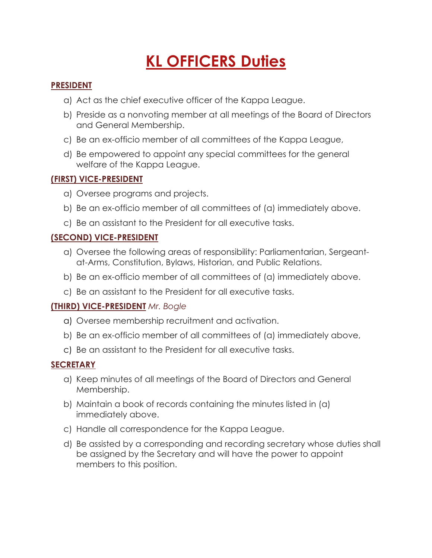# **KL OFFICERS Duties**

#### **PRESIDENT**

- a) Act as the chief executive officer of the Kappa League.
- b) Preside as a nonvoting member at all meetings of the Board of Directors and General Membership.
- c) Be an ex-officio member of all committees of the Kappa League,
- d) Be empowered to appoint any special committees for the general welfare of the Kappa League.

### **(FIRST) VICE-PRESIDENT**

- a) Oversee programs and projects.
- b) Be an ex-officio member of all committees of (a) immediately above.
- c) Be an assistant to the President for all executive tasks.

## **(SECOND) VICE-PRESIDENT**

- a) Oversee the following areas of responsibility: Parliamentarian, Sergeantat-Arms, Constitution, Bylaws, Historian, and Public Relations.
- b) Be an ex-officio member of all committees of (a) immediately above.
- c) Be an assistant to the President for all executive tasks.

### **(THIRD) VICE-PRESIDENT** *Mr. Bogle*

- a) Oversee membership recruitment and activation.
- b) Be an ex-officio member of all committees of (a) immediately above,
- c) Be an assistant to the President for all executive tasks.

### **SECRETARY**

- a) Keep minutes of all meetings of the Board of Directors and General Membership.
- b) Maintain a book of records containing the minutes listed in (a) immediately above.
- c) Handle all correspondence for the Kappa League.
- d) Be assisted by a corresponding and recording secretary whose duties shall be assigned by the Secretary and will have the power to appoint members to this position.